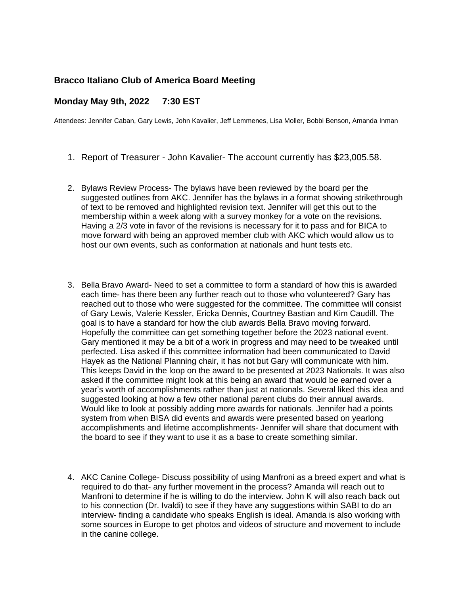## **Bracco Italiano Club of America Board Meeting**

## **Monday May 9th, 2022 7:30 EST**

Attendees: Jennifer Caban, Gary Lewis, John Kavalier, Jeff Lemmenes, Lisa Moller, Bobbi Benson, Amanda Inman

- 1. Report of Treasurer John Kavalier- The account currently has \$23,005.58.
- 2. Bylaws Review Process- The bylaws have been reviewed by the board per the suggested outlines from AKC. Jennifer has the bylaws in a format showing strikethrough of text to be removed and highlighted revision text. Jennifer will get this out to the membership within a week along with a survey monkey for a vote on the revisions. Having a 2/3 vote in favor of the revisions is necessary for it to pass and for BICA to move forward with being an approved member club with AKC which would allow us to host our own events, such as conformation at nationals and hunt tests etc.
- 3. Bella Bravo Award- Need to set a committee to form a standard of how this is awarded each time- has there been any further reach out to those who volunteered? Gary has reached out to those who were suggested for the committee. The committee will consist of Gary Lewis, Valerie Kessler, Ericka Dennis, Courtney Bastian and Kim Caudill. The goal is to have a standard for how the club awards Bella Bravo moving forward. Hopefully the committee can get something together before the 2023 national event. Gary mentioned it may be a bit of a work in progress and may need to be tweaked until perfected. Lisa asked if this committee information had been communicated to David Hayek as the National Planning chair, it has not but Gary will communicate with him. This keeps David in the loop on the award to be presented at 2023 Nationals. It was also asked if the committee might look at this being an award that would be earned over a year's worth of accomplishments rather than just at nationals. Several liked this idea and suggested looking at how a few other national parent clubs do their annual awards. Would like to look at possibly adding more awards for nationals. Jennifer had a points system from when BISA did events and awards were presented based on yearlong accomplishments and lifetime accomplishments- Jennifer will share that document with the board to see if they want to use it as a base to create something similar.
- 4. AKC Canine College- Discuss possibility of using Manfroni as a breed expert and what is required to do that- any further movement in the process? Amanda will reach out to Manfroni to determine if he is willing to do the interview. John K will also reach back out to his connection (Dr. Ivaldi) to see if they have any suggestions within SABI to do an interview- finding a candidate who speaks English is ideal. Amanda is also working with some sources in Europe to get photos and videos of structure and movement to include in the canine college.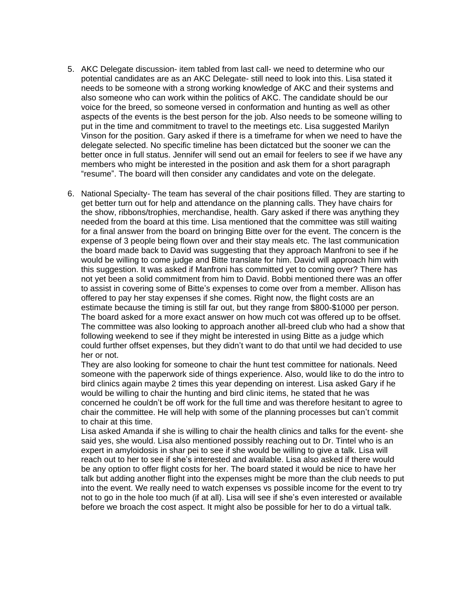- 5. AKC Delegate discussion- item tabled from last call- we need to determine who our potential candidates are as an AKC Delegate- still need to look into this. Lisa stated it needs to be someone with a strong working knowledge of AKC and their systems and also someone who can work within the politics of AKC. The candidate should be our voice for the breed, so someone versed in conformation and hunting as well as other aspects of the events is the best person for the job. Also needs to be someone willing to put in the time and commitment to travel to the meetings etc. Lisa suggested Marilyn Vinson for the position. Gary asked if there is a timeframe for when we need to have the delegate selected. No specific timeline has been dictatced but the sooner we can the better once in full status. Jennifer will send out an email for feelers to see if we have any members who might be interested in the position and ask them for a short paragraph "resume". The board will then consider any candidates and vote on the delegate.
- 6. National Specialty- The team has several of the chair positions filled. They are starting to get better turn out for help and attendance on the planning calls. They have chairs for the show, ribbons/trophies, merchandise, health. Gary asked if there was anything they needed from the board at this time. Lisa mentioned that the committee was still waiting for a final answer from the board on bringing Bitte over for the event. The concern is the expense of 3 people being flown over and their stay meals etc. The last communication the board made back to David was suggesting that they approach Manfroni to see if he would be willing to come judge and Bitte translate for him. David will approach him with this suggestion. It was asked if Manfroni has committed yet to coming over? There has not yet been a solid commitment from him to David. Bobbi mentioned there was an offer to assist in covering some of Bitte's expenses to come over from a member. Allison has offered to pay her stay expenses if she comes. Right now, the flight costs are an estimate because the timing is still far out, but they range from \$800-\$1000 per person. The board asked for a more exact answer on how much cot was offered up to be offset. The committee was also looking to approach another all-breed club who had a show that following weekend to see if they might be interested in using Bitte as a judge which could further offset expenses, but they didn't want to do that until we had decided to use her or not.

They are also looking for someone to chair the hunt test committee for nationals. Need someone with the paperwork side of things experience. Also, would like to do the intro to bird clinics again maybe 2 times this year depending on interest. Lisa asked Gary if he would be willing to chair the hunting and bird clinic items, he stated that he was concerned he couldn't be off work for the full time and was therefore hesitant to agree to chair the committee. He will help with some of the planning processes but can't commit to chair at this time.

Lisa asked Amanda if she is willing to chair the health clinics and talks for the event- she said yes, she would. Lisa also mentioned possibly reaching out to Dr. Tintel who is an expert in amyloidosis in shar pei to see if she would be willing to give a talk. Lisa will reach out to her to see if she's interested and available. Lisa also asked if there would be any option to offer flight costs for her. The board stated it would be nice to have her talk but adding another flight into the expenses might be more than the club needs to put into the event. We really need to watch expenses vs possible income for the event to try not to go in the hole too much (if at all). Lisa will see if she's even interested or available before we broach the cost aspect. It might also be possible for her to do a virtual talk.